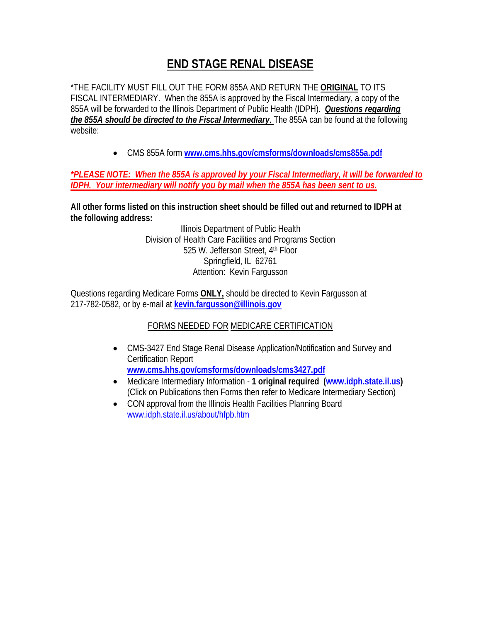## **END STAGE RENAL DISEASE**

\*THE FACILITY MUST FILL OUT THE FORM 855A AND RETURN THE **ORIGINAL** TO ITS FISCAL INTERMEDIARY. When the 855A is approved by the Fiscal Intermediary, a copy of the 855A will be forwarded to the Illinois Department of Public Health (IDPH). *Questions regarding the 855A should be directed to the Fiscal Intermediary.* The 855A can be found at the following website:

• CMS 855A form **www.cms.hhs.gov/cmsforms/downloads/cms855a.pdf**

## *\*PLEASE NOTE: When the 855A is approved by your Fiscal Intermediary, it will be forwarded to IDPH. Your intermediary will notify you by mail when the 855A has been sent to us.*

**All other forms listed on this instruction sheet should be filled out and returned to IDPH at the following address:** 

> Illinois Department of Public Health Division of Health Care Facilities and Programs Section 525 W. Jefferson Street, 4th Floor Springfield, IL 62761 Attention: Kevin Fargusson

Questions regarding Medicare Forms **ONLY,** should be directed to Kevin Fargusson at 217-782-0582, or by e-mail at **kevin.fargusson@illinois.gov**

## FORMS NEEDED FOR MEDICARE CERTIFICATION

- CMS-3427 End Stage Renal Disease Application/Notification and Survey and Certification Report **www.cms.hhs.gov/cmsforms/downloads/cms3427.pdf**
- Medicare Intermediary Information **1 original required (www.idph.state.il.us)** (Click on Publications then Forms then refer to Medicare Intermediary Section)
- CON approval from the Illinois Health Facilities Planning Board www.idph.state.il.us/about/hfpb.htm